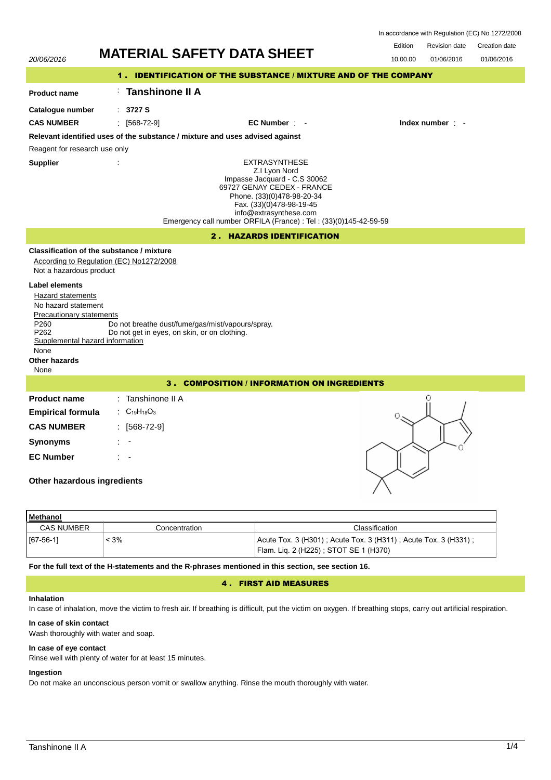|                                                                                                                                                                                   | <b>MATERIAL SAFETY DATA SHEET</b>                                                                |                                                                                                                                                                                                                                                              | Edition<br>Revision date<br>Creation date |  |  |
|-----------------------------------------------------------------------------------------------------------------------------------------------------------------------------------|--------------------------------------------------------------------------------------------------|--------------------------------------------------------------------------------------------------------------------------------------------------------------------------------------------------------------------------------------------------------------|-------------------------------------------|--|--|
| 20/06/2016                                                                                                                                                                        |                                                                                                  |                                                                                                                                                                                                                                                              | 10.00.00<br>01/06/2016<br>01/06/2016      |  |  |
|                                                                                                                                                                                   |                                                                                                  | 1. IDENTIFICATION OF THE SUBSTANCE / MIXTURE AND OF THE COMPANY                                                                                                                                                                                              |                                           |  |  |
| <b>Product name</b>                                                                                                                                                               | Tanshinone II A                                                                                  |                                                                                                                                                                                                                                                              |                                           |  |  |
| Catalogue number                                                                                                                                                                  | : 3727S                                                                                          |                                                                                                                                                                                                                                                              |                                           |  |  |
| <b>CAS NUMBER</b>                                                                                                                                                                 | $\frac{1}{2}$ [568-72-9]                                                                         | $EC$ Number $\pm$                                                                                                                                                                                                                                            | Index number : -                          |  |  |
|                                                                                                                                                                                   | Relevant identified uses of the substance / mixture and uses advised against                     |                                                                                                                                                                                                                                                              |                                           |  |  |
| Reagent for research use only                                                                                                                                                     |                                                                                                  |                                                                                                                                                                                                                                                              |                                           |  |  |
| <b>Supplier</b>                                                                                                                                                                   |                                                                                                  | <b>EXTRASYNTHESE</b><br>Z.I Lyon Nord<br>Impasse Jacquard - C.S 30062<br>69727 GENAY CEDEX - FRANCE<br>Phone. (33)(0)478-98-20-34<br>Fax. (33)(0)478-98-19-45<br>info@extrasynthese.com<br>Emergency call number ORFILA (France) : Tel : (33)(0)145-42-59-59 |                                           |  |  |
|                                                                                                                                                                                   |                                                                                                  | 2. HAZARDS IDENTIFICATION                                                                                                                                                                                                                                    |                                           |  |  |
| Not a hazardous product                                                                                                                                                           | Classification of the substance / mixture<br>According to Regulation (EC) No1272/2008            |                                                                                                                                                                                                                                                              |                                           |  |  |
| <b>Label elements</b><br>Hazard statements<br>No hazard statement<br>Precautionary statements<br>P260<br>P262<br>Supplemental hazard information<br>None<br>Other hazards<br>None | Do not breathe dust/fume/gas/mist/vapours/spray.<br>Do not get in eyes, on skin, or on clothing. |                                                                                                                                                                                                                                                              |                                           |  |  |
| 3. COMPOSITION / INFORMATION ON INGREDIENTS                                                                                                                                       |                                                                                                  |                                                                                                                                                                                                                                                              |                                           |  |  |
| <b>Product name</b><br><b>Empirical formula</b><br><b>CAS NUMBER</b><br><b>Synonyms</b><br><b>EC Number</b><br>Other hazardous ingredients                                        | : Tanshinone II A<br>: $C_{19}H_{18}O_3$<br>$: [568-72-9]$                                       |                                                                                                                                                                                                                                                              | Ω<br>Ω                                    |  |  |
| Methanol                                                                                                                                                                          |                                                                                                  |                                                                                                                                                                                                                                                              |                                           |  |  |

| methanol          |               |                                                                |
|-------------------|---------------|----------------------------------------------------------------|
| <b>CAS NUMBER</b> | Concentration | Classification                                                 |
| $  [67-56-1]$     | : 3%          | Acute Tox. 3 (H301); Acute Tox. 3 (H311); Acute Tox. 3 (H331); |
|                   |               | Flam. Lig. 2 (H225); STOT SE 1 (H370)                          |

**For the full text of the H-statements and the R-phrases mentioned in this section, see section 16.**

## 4 . FIRST AID MEASURES

## **Inhalation**

In case of inhalation, move the victim to fresh air. If breathing is difficult, put the victim on oxygen. If breathing stops, carry out artificial respiration.

## **In case of skin contact**

Wash thoroughly with water and soap.

# **In case of eye contact**

Rinse well with plenty of water for at least 15 minutes.

# **Ingestion**

Do not make an unconscious person vomit or swallow anything. Rinse the mouth thoroughly with water.

In accordance with Regulation (EC) No 1272/2008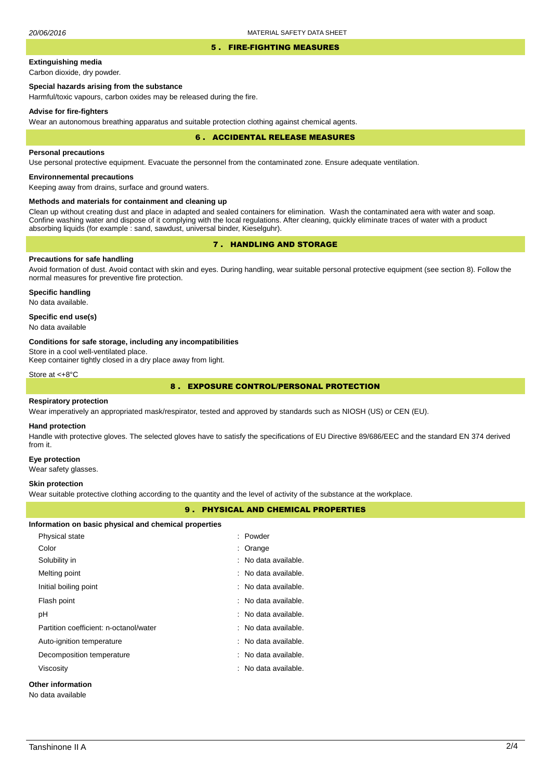### 5 . FIRE-FIGHTING MEASURES

# **Extinguishing media**

Carbon dioxide, dry powder.

## **Special hazards arising from the substance**

Harmful/toxic vapours, carbon oxides may be released during the fire.

### **Advise for fire-fighters**

Wear an autonomous breathing apparatus and suitable protection clothing against chemical agents.

#### 6 . ACCIDENTAL RELEASE MEASURES

### **Personal precautions**

Use personal protective equipment. Evacuate the personnel from the contaminated zone. Ensure adequate ventilation.

## **Environnemental precautions**

Keeping away from drains, surface and ground waters.

### **Methods and materials for containment and cleaning up**

Clean up without creating dust and place in adapted and sealed containers for elimination. Wash the contaminated aera with water and soap. Confine washing water and dispose of it complying with the local regulations. After cleaning, quickly eliminate traces of water with a product absorbing liquids (for example : sand, sawdust, universal binder, Kieselguhr).

## 7 . HANDLING AND STORAGE

## **Precautions for safe handling**

Avoid formation of dust. Avoid contact with skin and eyes. During handling, wear suitable personal protective equipment (see section 8). Follow the normal measures for preventive fire protection.

**Specific handling** No data available.

### **Specific end use(s)**

No data available

### **Conditions for safe storage, including any incompatibilities**

Store in a cool well-ventilated place.

Keep container tightly closed in a dry place away from light.

Store at <+8°C

## 8 . EXPOSURE CONTROL/PERSONAL PROTECTION

### **Respiratory protection**

Wear imperatively an appropriated mask/respirator, tested and approved by standards such as NIOSH (US) or CEN (EU).

#### **Hand protection**

Handle with protective gloves. The selected gloves have to satisfy the specifications of EU Directive 89/686/EEC and the standard EN 374 derived from it.

### **Eye protection**

Wear safety glasses.

### **Skin protection**

Wear suitable protective clothing according to the quantity and the level of activity of the substance at the workplace.

## 9 . PHYSICAL AND CHEMICAL PROPERTIES

|  |  | Information on basic physical and chemical properties |
|--|--|-------------------------------------------------------|
|--|--|-------------------------------------------------------|

| Physical state                         | : Powder             |
|----------------------------------------|----------------------|
| Color                                  | : Orange             |
| Solubility in                          | : No data available. |
| Melting point                          | : No data available. |
| Initial boiling point                  | : No data available. |
| Flash point                            | : No data available. |
| рH                                     | : No data available. |
| Partition coefficient: n-octanol/water | : No data available. |
| Auto-ignition temperature              | : No data available. |
| Decomposition temperature              | : No data available. |
| Viscosity                              | : No data available. |
| Other information                      |                      |

No data available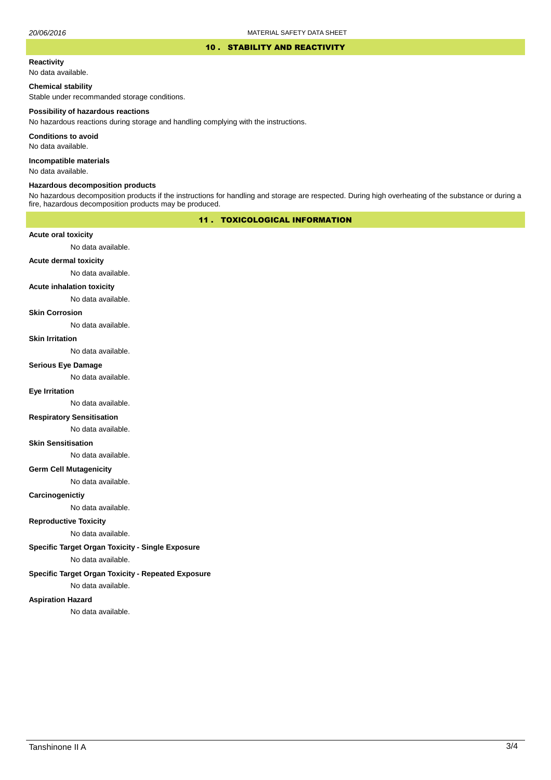### 10 . STABILITY AND REACTIVITY

#### **Reactivity**

No data available.

## **Chemical stability**

Stable under recommanded storage conditions.

#### **Possibility of hazardous reactions**

No hazardous reactions during storage and handling complying with the instructions.

**Conditions to avoid**

No data available.

**Incompatible materials**

No data available.

### **Hazardous decomposition products**

No hazardous decomposition products if the instructions for handling and storage are respected. During high overheating of the substance or during a fire, hazardous decomposition products may be produced.

## 11 . TOXICOLOGICAL INFORMATION

### **Acute oral toxicity**

No data available.

## **Acute dermal toxicity**

No data available.

#### **Acute inhalation toxicity**

No data available.

### **Skin Corrosion**

No data available.

#### **Skin Irritation**

No data available.

## **Serious Eye Damage**

No data available.

### **Eye Irritation**

No data available.

### **Respiratory Sensitisation**

No data available.

### **Skin Sensitisation**

No data available.

### **Germ Cell Mutagenicity**

No data available.

### **Carcinogenictiy**

No data available.

## **Reproductive Toxicity**

No data available.

### **Specific Target Organ Toxicity - Single Exposure**

No data available.

## **Specific Target Organ Toxicity - Repeated Exposure**

No data available.

### **Aspiration Hazard**

No data available.